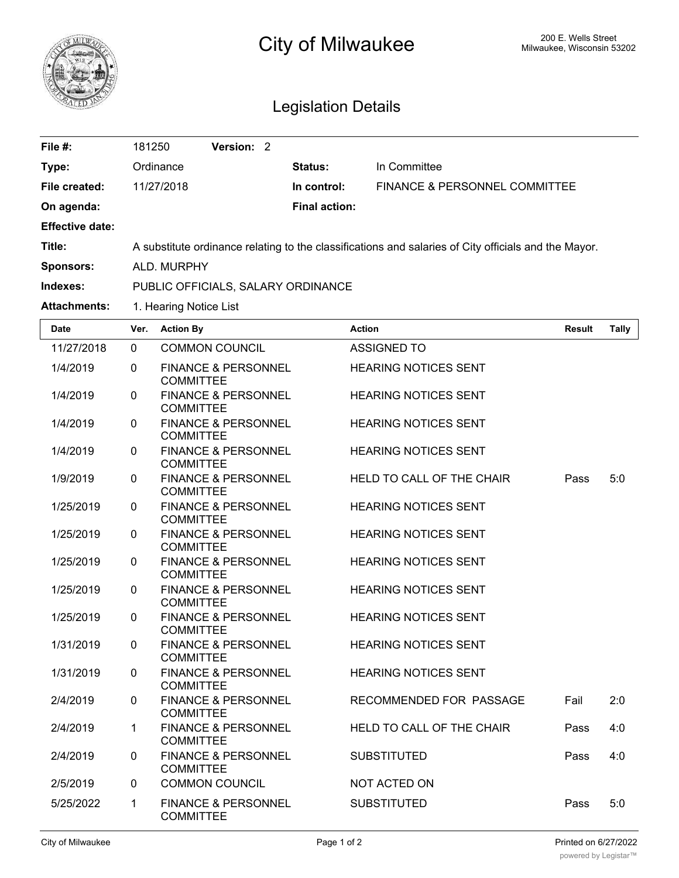

## City of Milwaukee Milwaukee, Wisconsin 53202

## Legislation Details

| File #:                | 181250                                                                                               | Version: 2 |  |                      |                                          |  |
|------------------------|------------------------------------------------------------------------------------------------------|------------|--|----------------------|------------------------------------------|--|
| Type:                  | Ordinance                                                                                            |            |  | <b>Status:</b>       | In Committee                             |  |
| File created:          | 11/27/2018                                                                                           |            |  | In control:          | <b>FINANCE &amp; PERSONNEL COMMITTEE</b> |  |
| On agenda:             |                                                                                                      |            |  | <b>Final action:</b> |                                          |  |
| <b>Effective date:</b> |                                                                                                      |            |  |                      |                                          |  |
| Title:                 | A substitute ordinance relating to the classifications and salaries of City officials and the Mayor. |            |  |                      |                                          |  |
| <b>Sponsors:</b>       | ALD, MURPHY                                                                                          |            |  |                      |                                          |  |
| Indexes:               | PUBLIC OFFICIALS, SALARY ORDINANCE                                                                   |            |  |                      |                                          |  |
| <b>Attachments:</b>    | 1. Hearing Notice List                                                                               |            |  |                      |                                          |  |

| <b>Date</b> | Ver.         | <b>Action By</b>                                   | <b>Action</b>                    | <b>Result</b> | <b>Tally</b> |
|-------------|--------------|----------------------------------------------------|----------------------------------|---------------|--------------|
| 11/27/2018  | $\Omega$     | <b>COMMON COUNCIL</b>                              | <b>ASSIGNED TO</b>               |               |              |
| 1/4/2019    | $\mathbf 0$  | <b>FINANCE &amp; PERSONNEL</b><br><b>COMMITTEE</b> | <b>HEARING NOTICES SENT</b>      |               |              |
| 1/4/2019    | $\Omega$     | <b>FINANCE &amp; PERSONNEL</b><br><b>COMMITTEE</b> | <b>HEARING NOTICES SENT</b>      |               |              |
| 1/4/2019    | $\mathbf{0}$ | <b>FINANCE &amp; PERSONNEL</b><br><b>COMMITTEE</b> | <b>HEARING NOTICES SENT</b>      |               |              |
| 1/4/2019    | $\Omega$     | <b>FINANCE &amp; PERSONNEL</b><br><b>COMMITTEE</b> | <b>HEARING NOTICES SENT</b>      |               |              |
| 1/9/2019    | $\mathbf 0$  | <b>FINANCE &amp; PERSONNEL</b><br><b>COMMITTEE</b> | HELD TO CALL OF THE CHAIR        | Pass          | 5:0          |
| 1/25/2019   | $\mathbf 0$  | <b>FINANCE &amp; PERSONNEL</b><br><b>COMMITTEE</b> | <b>HEARING NOTICES SENT</b>      |               |              |
| 1/25/2019   | $\Omega$     | <b>FINANCE &amp; PERSONNEL</b><br><b>COMMITTEE</b> | <b>HEARING NOTICES SENT</b>      |               |              |
| 1/25/2019   | $\mathbf 0$  | <b>FINANCE &amp; PERSONNEL</b><br><b>COMMITTEE</b> | <b>HEARING NOTICES SENT</b>      |               |              |
| 1/25/2019   | $\Omega$     | <b>FINANCE &amp; PERSONNEL</b><br><b>COMMITTEE</b> | <b>HEARING NOTICES SENT</b>      |               |              |
| 1/25/2019   | $\mathbf 0$  | <b>FINANCE &amp; PERSONNEL</b><br><b>COMMITTEE</b> | <b>HEARING NOTICES SENT</b>      |               |              |
| 1/31/2019   | $\mathbf 0$  | <b>FINANCE &amp; PERSONNEL</b><br><b>COMMITTEE</b> | <b>HEARING NOTICES SENT</b>      |               |              |
| 1/31/2019   | $\Omega$     | <b>FINANCE &amp; PERSONNEL</b><br><b>COMMITTEE</b> | <b>HEARING NOTICES SENT</b>      |               |              |
| 2/4/2019    | $\mathbf 0$  | <b>FINANCE &amp; PERSONNEL</b><br><b>COMMITTEE</b> | RECOMMENDED FOR PASSAGE          | Fail          | 2:0          |
| 2/4/2019    | $\mathbf{1}$ | <b>FINANCE &amp; PERSONNEL</b><br><b>COMMITTEE</b> | <b>HELD TO CALL OF THE CHAIR</b> | Pass          | 4:0          |
| 2/4/2019    | $\Omega$     | <b>FINANCE &amp; PERSONNEL</b><br><b>COMMITTEE</b> | <b>SUBSTITUTED</b>               | Pass          | 4:0          |
| 2/5/2019    | $\Omega$     | <b>COMMON COUNCIL</b>                              | NOT ACTED ON                     |               |              |
| 5/25/2022   | $\mathbf{1}$ | <b>FINANCE &amp; PERSONNEL</b><br><b>COMMITTEE</b> | <b>SUBSTITUTED</b>               | Pass          | 5:0          |